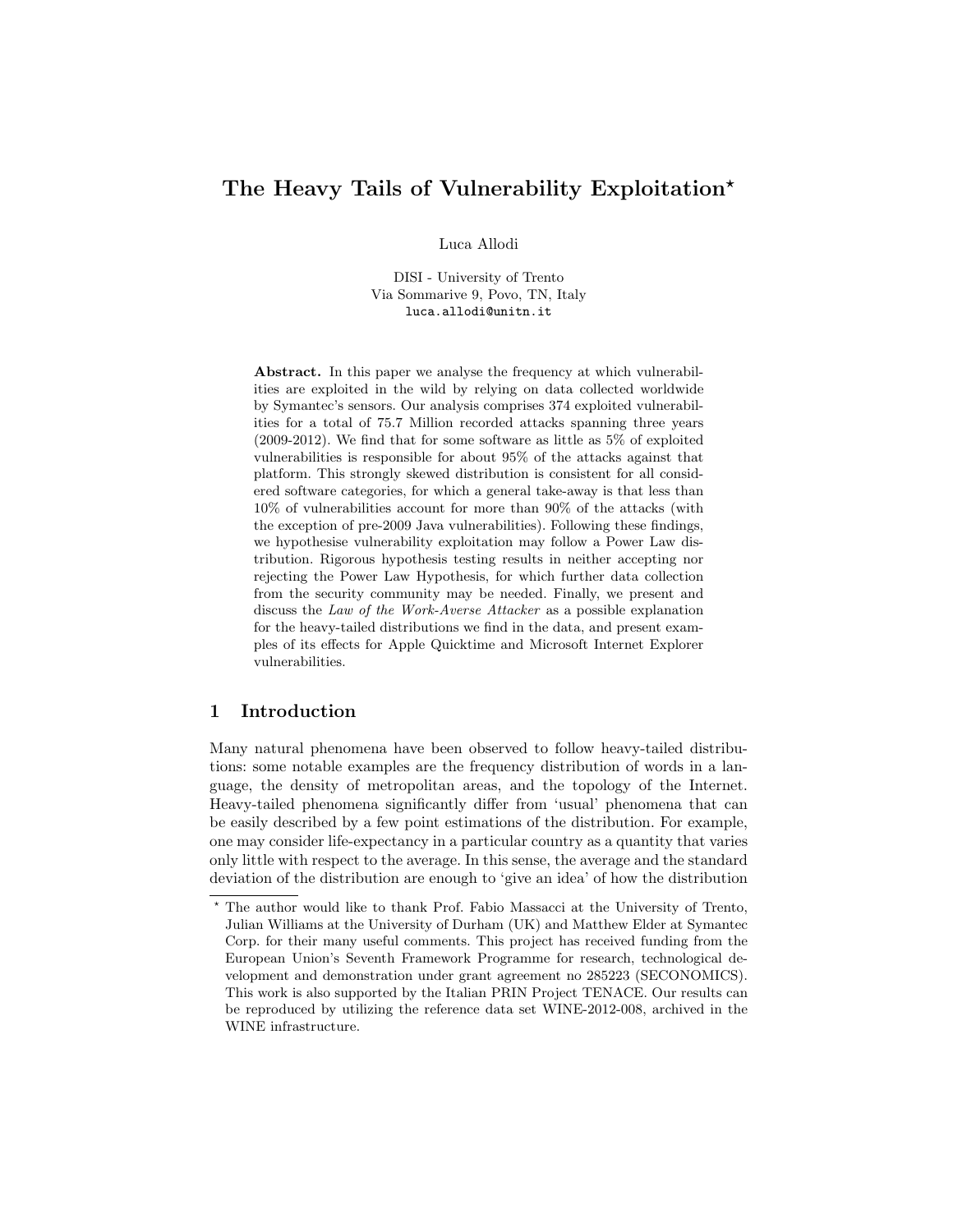# The Heavy Tails of Vulnerability Exploitation<sup>\*</sup>

Luca Allodi

DISI - University of Trento Via Sommarive 9, Povo, TN, Italy luca.allodi@unitn.it

Abstract. In this paper we analyse the frequency at which vulnerabilities are exploited in the wild by relying on data collected worldwide by Symantec's sensors. Our analysis comprises 374 exploited vulnerabilities for a total of 75.7 Million recorded attacks spanning three years (2009-2012). We find that for some software as little as 5% of exploited vulnerabilities is responsible for about 95% of the attacks against that platform. This strongly skewed distribution is consistent for all considered software categories, for which a general take-away is that less than 10% of vulnerabilities account for more than 90% of the attacks (with the exception of pre-2009 Java vulnerabilities). Following these findings, we hypothesise vulnerability exploitation may follow a Power Law distribution. Rigorous hypothesis testing results in neither accepting nor rejecting the Power Law Hypothesis, for which further data collection from the security community may be needed. Finally, we present and discuss the Law of the Work-Averse Attacker as a possible explanation for the heavy-tailed distributions we find in the data, and present examples of its effects for Apple Quicktime and Microsoft Internet Explorer vulnerabilities.

## 1 Introduction

Many natural phenomena have been observed to follow heavy-tailed distributions: some notable examples are the frequency distribution of words in a language, the density of metropolitan areas, and the topology of the Internet. Heavy-tailed phenomena significantly differ from 'usual' phenomena that can be easily described by a few point estimations of the distribution. For example, one may consider life-expectancy in a particular country as a quantity that varies only little with respect to the average. In this sense, the average and the standard deviation of the distribution are enough to 'give an idea' of how the distribution

<sup>?</sup> The author would like to thank Prof. Fabio Massacci at the University of Trento, Julian Williams at the University of Durham (UK) and Matthew Elder at Symantec Corp. for their many useful comments. This project has received funding from the European Union's Seventh Framework Programme for research, technological development and demonstration under grant agreement no 285223 (SECONOMICS). This work is also supported by the Italian PRIN Project TENACE. Our results can be reproduced by utilizing the reference data set WINE-2012-008, archived in the WINE infrastructure.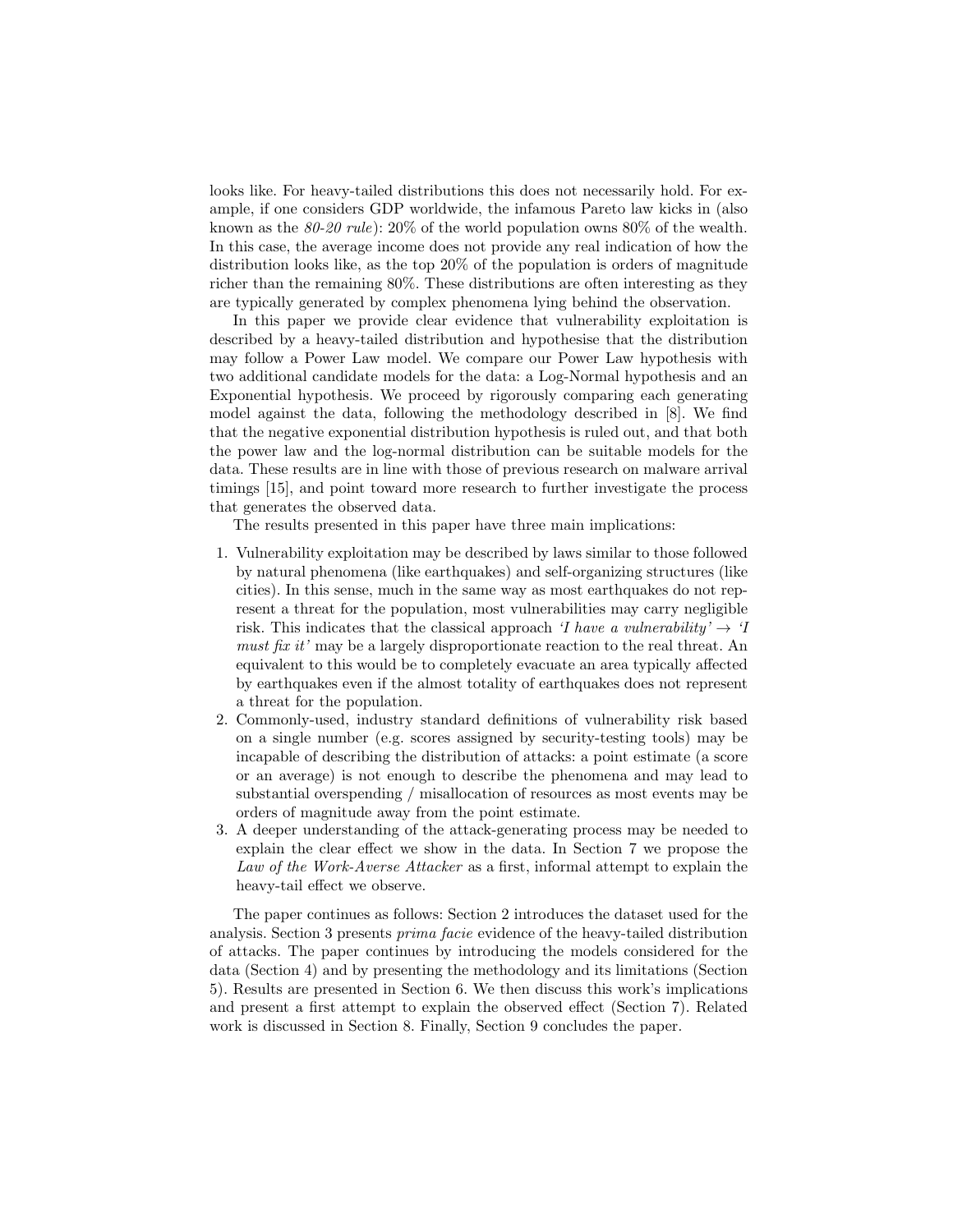looks like. For heavy-tailed distributions this does not necessarily hold. For example, if one considers GDP worldwide, the infamous Pareto law kicks in (also known as the  $80\n-20$  rule):  $20\%$  of the world population owns  $80\%$  of the wealth. In this case, the average income does not provide any real indication of how the distribution looks like, as the top 20% of the population is orders of magnitude richer than the remaining 80%. These distributions are often interesting as they are typically generated by complex phenomena lying behind the observation.

In this paper we provide clear evidence that vulnerability exploitation is described by a heavy-tailed distribution and hypothesise that the distribution may follow a Power Law model. We compare our Power Law hypothesis with two additional candidate models for the data: a Log-Normal hypothesis and an Exponential hypothesis. We proceed by rigorously comparing each generating model against the data, following the methodology described in [8]. We find that the negative exponential distribution hypothesis is ruled out, and that both the power law and the log-normal distribution can be suitable models for the data. These results are in line with those of previous research on malware arrival timings [15], and point toward more research to further investigate the process that generates the observed data.

The results presented in this paper have three main implications:

- 1. Vulnerability exploitation may be described by laws similar to those followed by natural phenomena (like earthquakes) and self-organizing structures (like cities). In this sense, much in the same way as most earthquakes do not represent a threat for the population, most vulnerabilities may carry negligible risk. This indicates that the classical approach 'I have a vulnerability'  $\rightarrow$  'I must fix it' may be a largely disproportionate reaction to the real threat. An equivalent to this would be to completely evacuate an area typically affected by earthquakes even if the almost totality of earthquakes does not represent a threat for the population.
- 2. Commonly-used, industry standard definitions of vulnerability risk based on a single number (e.g. scores assigned by security-testing tools) may be incapable of describing the distribution of attacks: a point estimate (a score or an average) is not enough to describe the phenomena and may lead to substantial overspending / misallocation of resources as most events may be orders of magnitude away from the point estimate.
- 3. A deeper understanding of the attack-generating process may be needed to explain the clear effect we show in the data. In Section 7 we propose the Law of the Work-Averse Attacker as a first, informal attempt to explain the heavy-tail effect we observe.

The paper continues as follows: Section 2 introduces the dataset used for the analysis. Section 3 presents prima facie evidence of the heavy-tailed distribution of attacks. The paper continues by introducing the models considered for the data (Section 4) and by presenting the methodology and its limitations (Section 5). Results are presented in Section 6. We then discuss this work's implications and present a first attempt to explain the observed effect (Section 7). Related work is discussed in Section 8. Finally, Section 9 concludes the paper.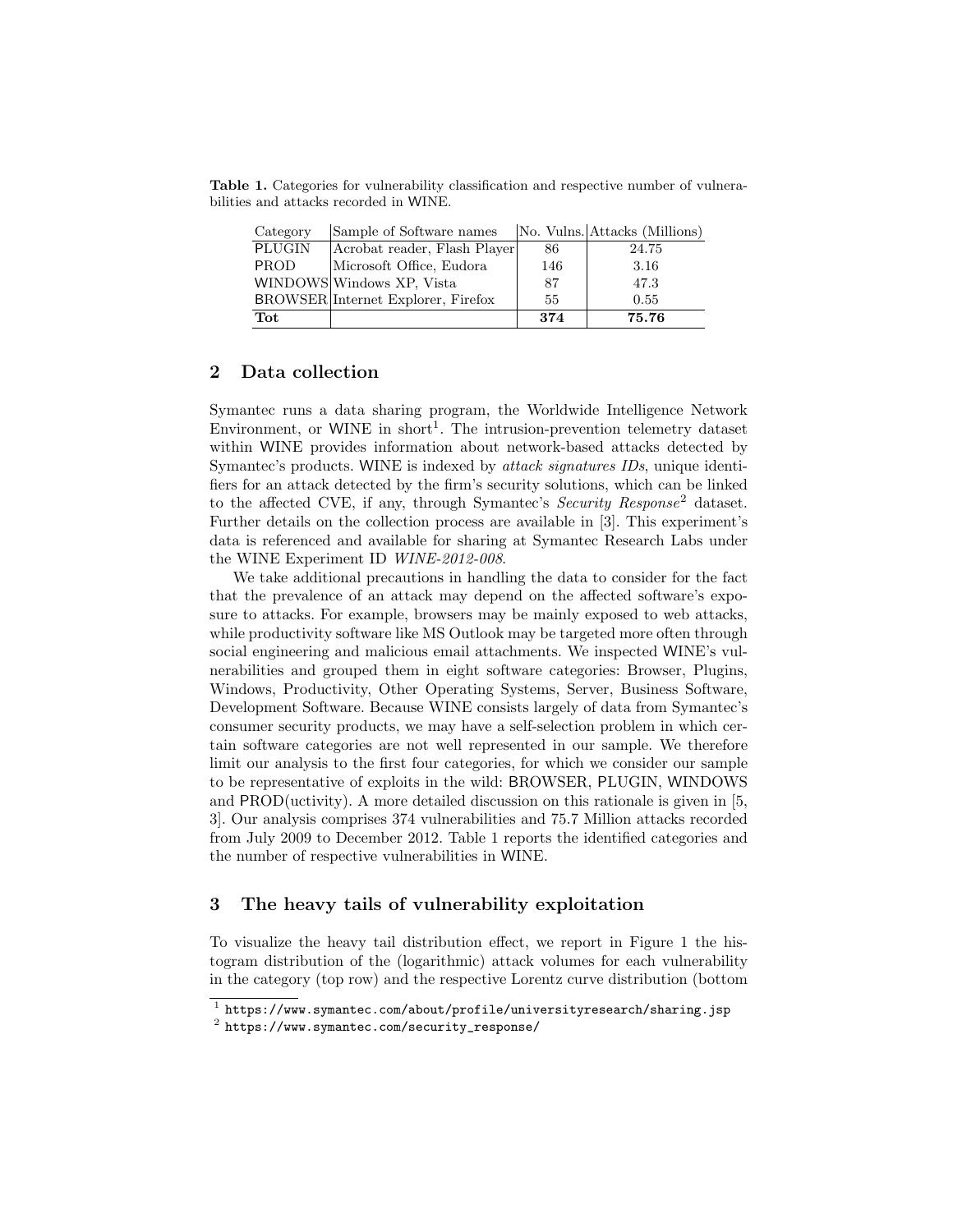Table 1. Categories for vulnerability classification and respective number of vulnerabilities and attacks recorded in WINE.

| Category      | Sample of Software names           |     | No. Vulns. Attacks (Millions) |
|---------------|------------------------------------|-----|-------------------------------|
| <b>PLUGIN</b> | Acrobat reader, Flash Player       | 86  | 24.75                         |
| <b>PROD</b>   | Microsoft Office, Eudora           | 146 | 3.16                          |
|               | WINDOWS Windows XP, Vista          | 87  | 47.3                          |
|               | BROWSER Internet Explorer, Firefox | 55  | 0.55                          |
| Tot           |                                    | 374 | 75.76                         |

## 2 Data collection

Symantec runs a data sharing program, the Worldwide Intelligence Network Environment, or WINE in short<sup>1</sup>. The intrusion-prevention telemetry dataset within WINE provides information about network-based attacks detected by Symantec's products. WINE is indexed by attack signatures IDs, unique identifiers for an attack detected by the firm's security solutions, which can be linked to the affected CVE, if any, through Symantec's *Security Response*<sup>2</sup> dataset. Further details on the collection process are available in [3]. This experiment's data is referenced and available for sharing at Symantec Research Labs under the WINE Experiment ID WINE-2012-008.

We take additional precautions in handling the data to consider for the fact that the prevalence of an attack may depend on the affected software's exposure to attacks. For example, browsers may be mainly exposed to web attacks, while productivity software like MS Outlook may be targeted more often through social engineering and malicious email attachments. We inspected WINE's vulnerabilities and grouped them in eight software categories: Browser, Plugins, Windows, Productivity, Other Operating Systems, Server, Business Software, Development Software. Because WINE consists largely of data from Symantec's consumer security products, we may have a self-selection problem in which certain software categories are not well represented in our sample. We therefore limit our analysis to the first four categories, for which we consider our sample to be representative of exploits in the wild: BROWSER, PLUGIN, WINDOWS and PROD(uctivity). A more detailed discussion on this rationale is given in [5, 3]. Our analysis comprises 374 vulnerabilities and 75.7 Million attacks recorded from July 2009 to December 2012. Table 1 reports the identified categories and the number of respective vulnerabilities in WINE.

### 3 The heavy tails of vulnerability exploitation

To visualize the heavy tail distribution effect, we report in Figure 1 the histogram distribution of the (logarithmic) attack volumes for each vulnerability in the category (top row) and the respective Lorentz curve distribution (bottom

 $^{\rm 1}$  https://www.symantec.com/about/profile/universityresearch/sharing.jsp

 $^2$  https://www.symantec.com/security\_response/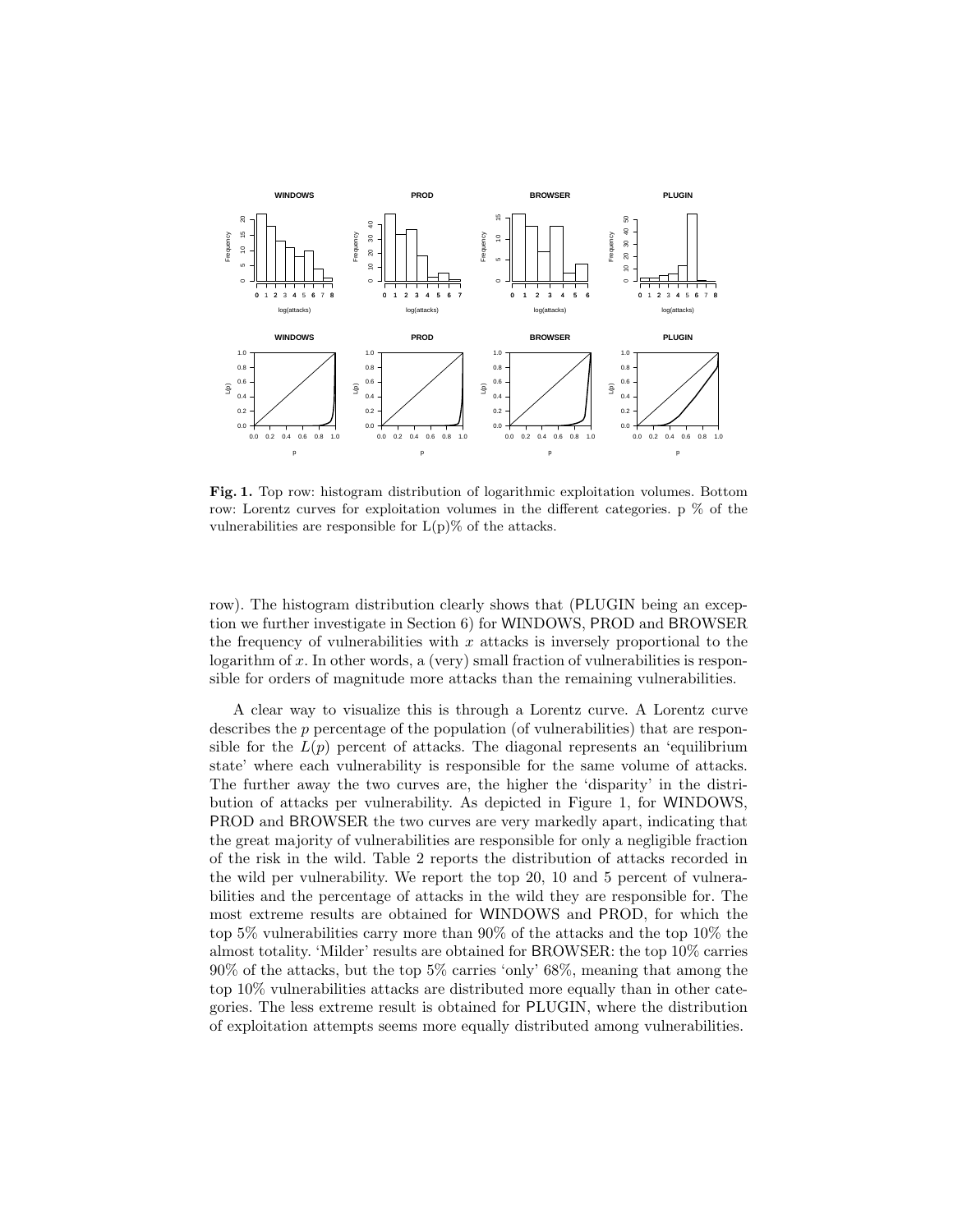

Fig. 1. Top row: histogram distribution of logarithmic exploitation volumes. Bottom row: Lorentz curves for exploitation volumes in the different categories. p % of the vulnerabilities are responsible for  $L(p)\%$  of the attacks.

row). The histogram distribution clearly shows that (PLUGIN being an exception we further investigate in Section 6) for WINDOWS, PROD and BROWSER the frequency of vulnerabilities with  $x$  attacks is inversely proportional to the logarithm of  $x$ . In other words, a (very) small fraction of vulnerabilities is responsible for orders of magnitude more attacks than the remaining vulnerabilities.

A clear way to visualize this is through a Lorentz curve. A Lorentz curve describes the p percentage of the population (of vulnerabilities) that are responsible for the  $L(p)$  percent of attacks. The diagonal represents an 'equilibrium state' where each vulnerability is responsible for the same volume of attacks. The further away the two curves are, the higher the 'disparity' in the distribution of attacks per vulnerability. As depicted in Figure 1, for WINDOWS, PROD and BROWSER the two curves are very markedly apart, indicating that the great majority of vulnerabilities are responsible for only a negligible fraction of the risk in the wild. Table 2 reports the distribution of attacks recorded in the wild per vulnerability. We report the top 20, 10 and 5 percent of vulnerabilities and the percentage of attacks in the wild they are responsible for. The most extreme results are obtained for WINDOWS and PROD, for which the top 5% vulnerabilities carry more than 90% of the attacks and the top 10% the almost totality. 'Milder' results are obtained for BROWSER: the top 10% carries 90% of the attacks, but the top 5% carries 'only' 68%, meaning that among the top 10% vulnerabilities attacks are distributed more equally than in other categories. The less extreme result is obtained for PLUGIN, where the distribution of exploitation attempts seems more equally distributed among vulnerabilities.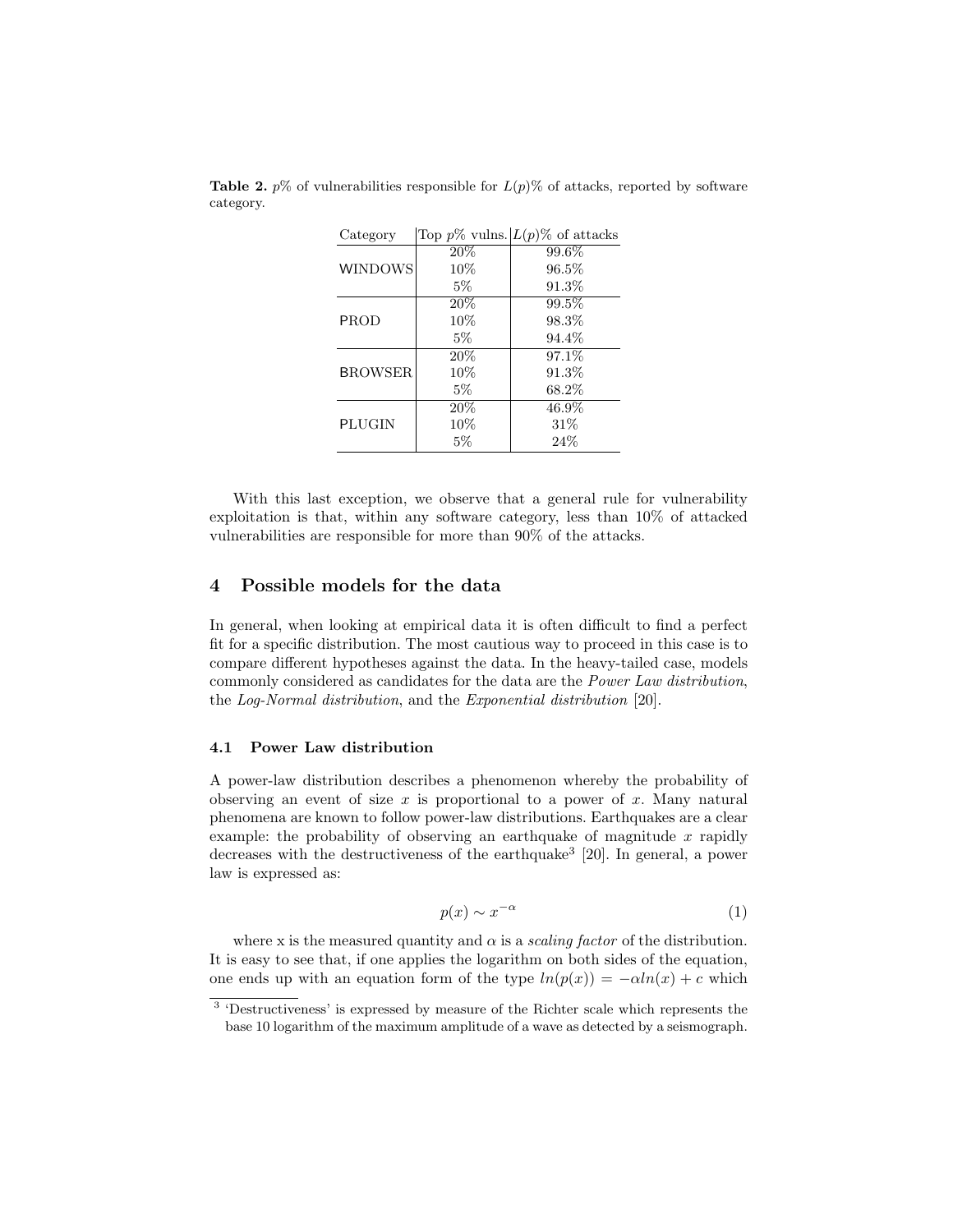| Category       |       | Top $p\%$ vulns. $L(p)\%$ of attacks |
|----------------|-------|--------------------------------------|
|                | 20%   | 99.6%                                |
| <b>WINDOWS</b> | 10%   | 96.5%                                |
|                | 5%    | 91.3%                                |
|                | 20%   | 99.5%                                |
| <b>PROD</b>    | 10%   | 98.3%                                |
|                | $5\%$ | 94.4%                                |
|                | 20%   | 97.1%                                |
| <b>BROWSER</b> | 10%   | 91.3%                                |
|                | $5\%$ | 68.2%                                |
|                | 20%   | 46.9%                                |
| PLUGIN         | 10%   | 31%                                  |
|                | $5\%$ | 24%                                  |

**Table 2.**  $p\%$  of vulnerabilities responsible for  $L(p)\%$  of attacks, reported by software category.

With this last exception, we observe that a general rule for vulnerability exploitation is that, within any software category, less than 10% of attacked vulnerabilities are responsible for more than 90% of the attacks.

### 4 Possible models for the data

In general, when looking at empirical data it is often difficult to find a perfect fit for a specific distribution. The most cautious way to proceed in this case is to compare different hypotheses against the data. In the heavy-tailed case, models commonly considered as candidates for the data are the Power Law distribution, the Log-Normal distribution, and the Exponential distribution [20].

#### 4.1 Power Law distribution

A power-law distribution describes a phenomenon whereby the probability of observing an event of size  $x$  is proportional to a power of  $x$ . Many natural phenomena are known to follow power-law distributions. Earthquakes are a clear example: the probability of observing an earthquake of magnitude  $x$  rapidly decreases with the destructiveness of the earthquake<sup>3</sup> [20]. In general, a power law is expressed as:

$$
p(x) \sim x^{-\alpha} \tag{1}
$$

where x is the measured quantity and  $\alpha$  is a *scaling factor* of the distribution. It is easy to see that, if one applies the logarithm on both sides of the equation, one ends up with an equation form of the type  $ln(p(x)) = -\alpha ln(x) + c$  which

<sup>&</sup>lt;sup>3</sup> 'Destructiveness' is expressed by measure of the Richter scale which represents the base 10 logarithm of the maximum amplitude of a wave as detected by a seismograph.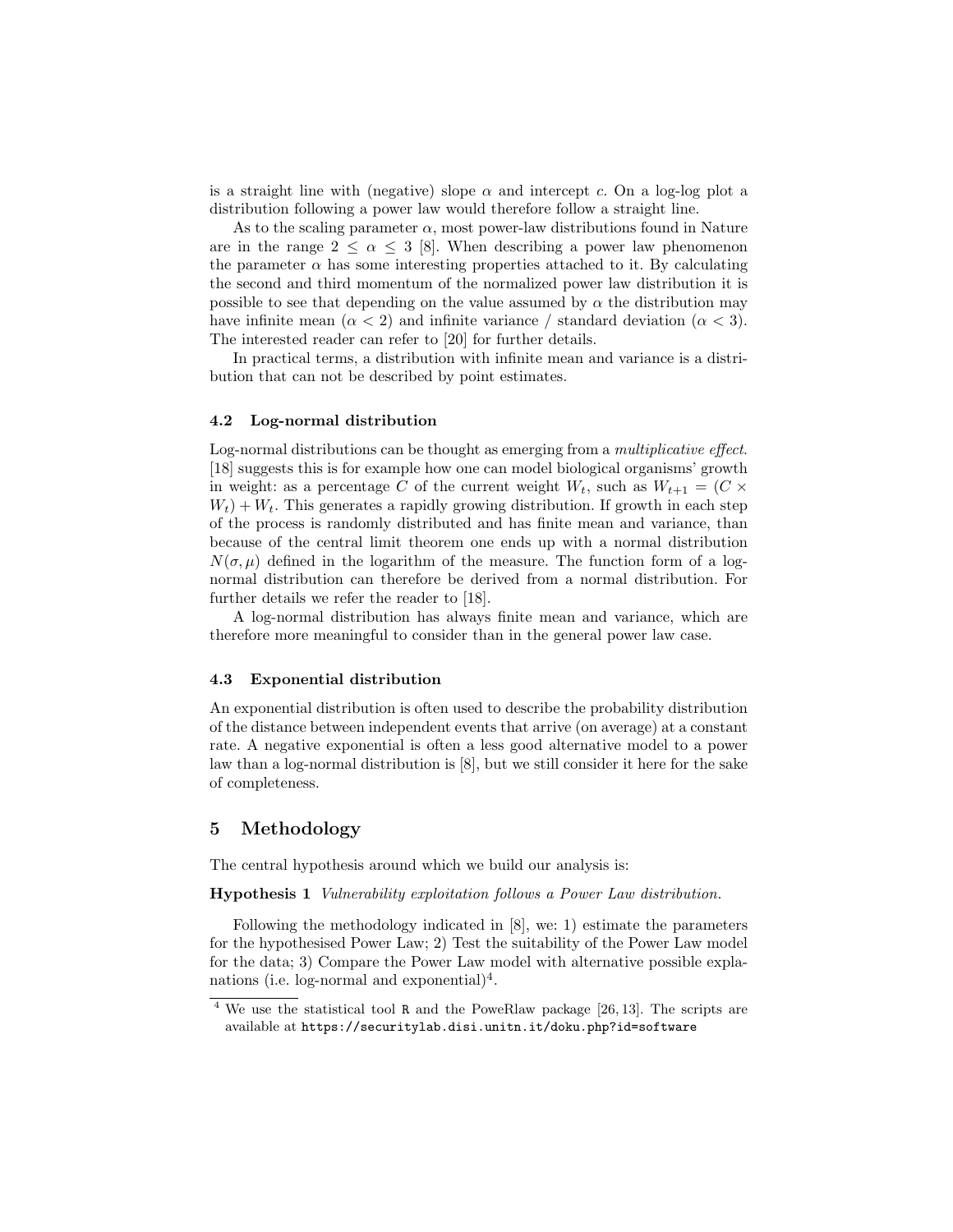is a straight line with (negative) slope  $\alpha$  and intercept c. On a log-log plot a distribution following a power law would therefore follow a straight line.

As to the scaling parameter  $\alpha$ , most power-law distributions found in Nature are in the range  $2 \leq \alpha \leq 3$  [8]. When describing a power law phenomenon the parameter  $\alpha$  has some interesting properties attached to it. By calculating the second and third momentum of the normalized power law distribution it is possible to see that depending on the value assumed by  $\alpha$  the distribution may have infinite mean  $(\alpha < 2)$  and infinite variance / standard deviation  $(\alpha < 3)$ . The interested reader can refer to [20] for further details.

In practical terms, a distribution with infinite mean and variance is a distribution that can not be described by point estimates.

#### 4.2 Log-normal distribution

Log-normal distributions can be thought as emerging from a *multiplicative effect*. [18] suggests this is for example how one can model biological organisms' growth in weight: as a percentage C of the current weight  $W_t$ , such as  $W_{t+1} = (C \times$  $W_t$ ) +  $W_t$ . This generates a rapidly growing distribution. If growth in each step of the process is randomly distributed and has finite mean and variance, than because of the central limit theorem one ends up with a normal distribution  $N(\sigma, \mu)$  defined in the logarithm of the measure. The function form of a lognormal distribution can therefore be derived from a normal distribution. For further details we refer the reader to [18].

A log-normal distribution has always finite mean and variance, which are therefore more meaningful to consider than in the general power law case.

#### 4.3 Exponential distribution

An exponential distribution is often used to describe the probability distribution of the distance between independent events that arrive (on average) at a constant rate. A negative exponential is often a less good alternative model to a power law than a log-normal distribution is [8], but we still consider it here for the sake of completeness.

### 5 Methodology

The central hypothesis around which we build our analysis is:

Hypothesis 1 Vulnerability exploitation follows a Power Law distribution.

Following the methodology indicated in [8], we: 1) estimate the parameters for the hypothesised Power Law; 2) Test the suitability of the Power Law model for the data; 3) Compare the Power Law model with alternative possible explanations (i.e. log-normal and exponential)<sup>4</sup>.

 $4$  We use the statistical tool R and the PoweRlaw package [26, 13]. The scripts are available at https://securitylab.disi.unitn.it/doku.php?id=software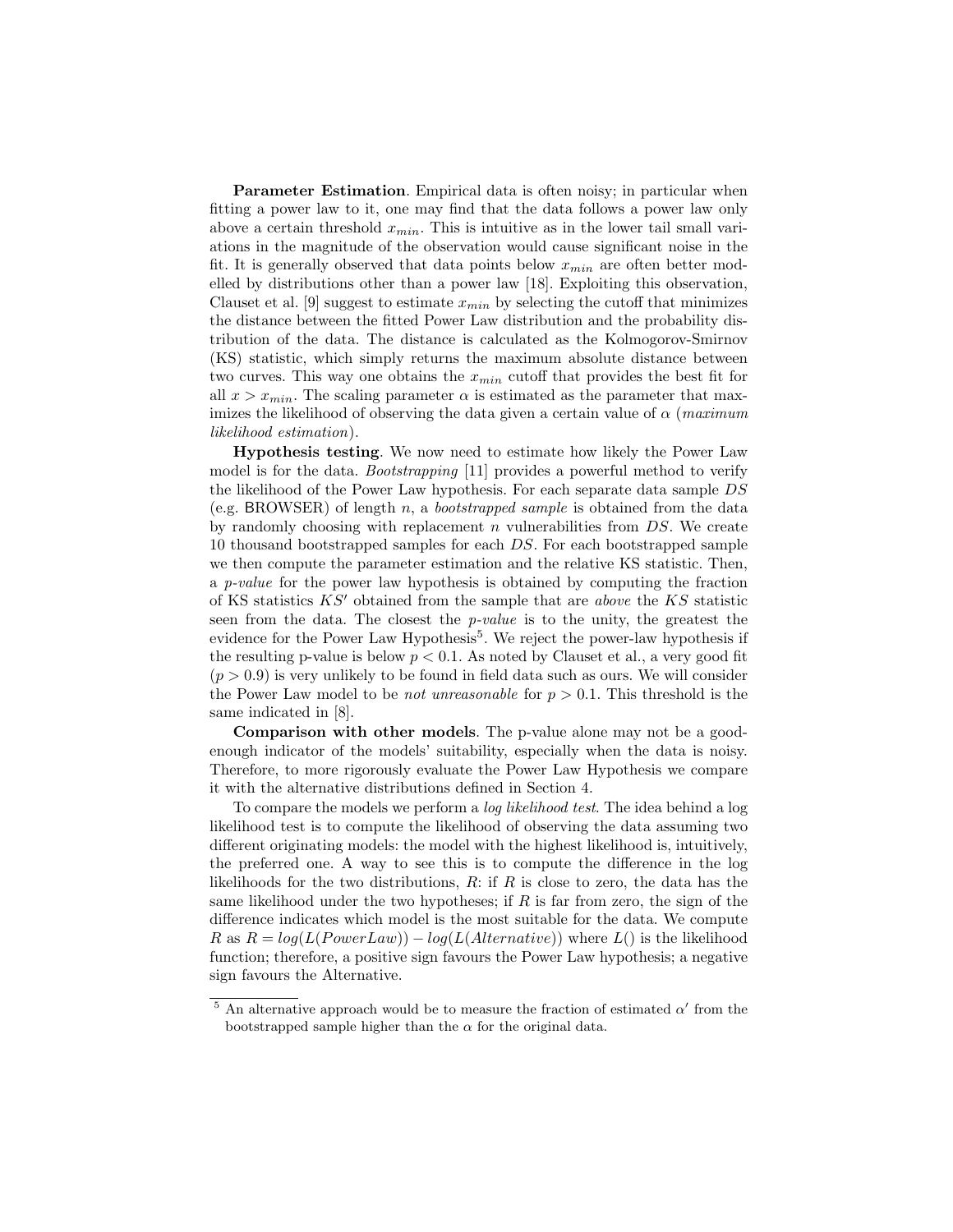Parameter Estimation. Empirical data is often noisy; in particular when fitting a power law to it, one may find that the data follows a power law only above a certain threshold  $x_{min}$ . This is intuitive as in the lower tail small variations in the magnitude of the observation would cause significant noise in the fit. It is generally observed that data points below  $x_{min}$  are often better modelled by distributions other than a power law [18]. Exploiting this observation, Clauset et al. [9] suggest to estimate  $x_{min}$  by selecting the cutoff that minimizes the distance between the fitted Power Law distribution and the probability distribution of the data. The distance is calculated as the Kolmogorov-Smirnov (KS) statistic, which simply returns the maximum absolute distance between two curves. This way one obtains the  $x_{min}$  cutoff that provides the best fit for all  $x > x_{min}$ . The scaling parameter  $\alpha$  is estimated as the parameter that maximizes the likelihood of observing the data given a certain value of  $\alpha$  (maximum likelihood estimation).

Hypothesis testing. We now need to estimate how likely the Power Law model is for the data. *Bootstrapping* [11] provides a powerful method to verify the likelihood of the Power Law hypothesis. For each separate data sample DS (e.g. BROWSER) of length n, a *bootstrapped sample* is obtained from the data by randomly choosing with replacement  $n$  vulnerabilities from  $DS$ . We create 10 thousand bootstrapped samples for each DS. For each bootstrapped sample we then compute the parameter estimation and the relative KS statistic. Then, a p-value for the power law hypothesis is obtained by computing the fraction of KS statistics  $KS'$  obtained from the sample that are *above* the KS statistic seen from the data. The closest the *p-value* is to the unity, the greatest the evidence for the Power Law Hypothesis<sup>5</sup>. We reject the power-law hypothesis if the resulting p-value is below  $p < 0.1$ . As noted by Clauset et al., a very good fit  $(p > 0.9)$  is very unlikely to be found in field data such as ours. We will consider the Power Law model to be *not unreasonable* for  $p > 0.1$ . This threshold is the same indicated in [8].

Comparison with other models. The p-value alone may not be a goodenough indicator of the models' suitability, especially when the data is noisy. Therefore, to more rigorously evaluate the Power Law Hypothesis we compare it with the alternative distributions defined in Section 4.

To compare the models we perform a log likelihood test. The idea behind a log likelihood test is to compute the likelihood of observing the data assuming two different originating models: the model with the highest likelihood is, intuitively, the preferred one. A way to see this is to compute the difference in the log likelihoods for the two distributions,  $R:$  if  $R$  is close to zero, the data has the same likelihood under the two hypotheses; if  $R$  is far from zero, the sign of the difference indicates which model is the most suitable for the data. We compute R as  $R = log(L(PowerLaw)) - log(L(AIternative))$  where  $L()$  is the likelihood function; therefore, a positive sign favours the Power Law hypothesis; a negative sign favours the Alternative.

<sup>&</sup>lt;sup>5</sup> An alternative approach would be to measure the fraction of estimated  $\alpha'$  from the bootstrapped sample higher than the  $\alpha$  for the original data.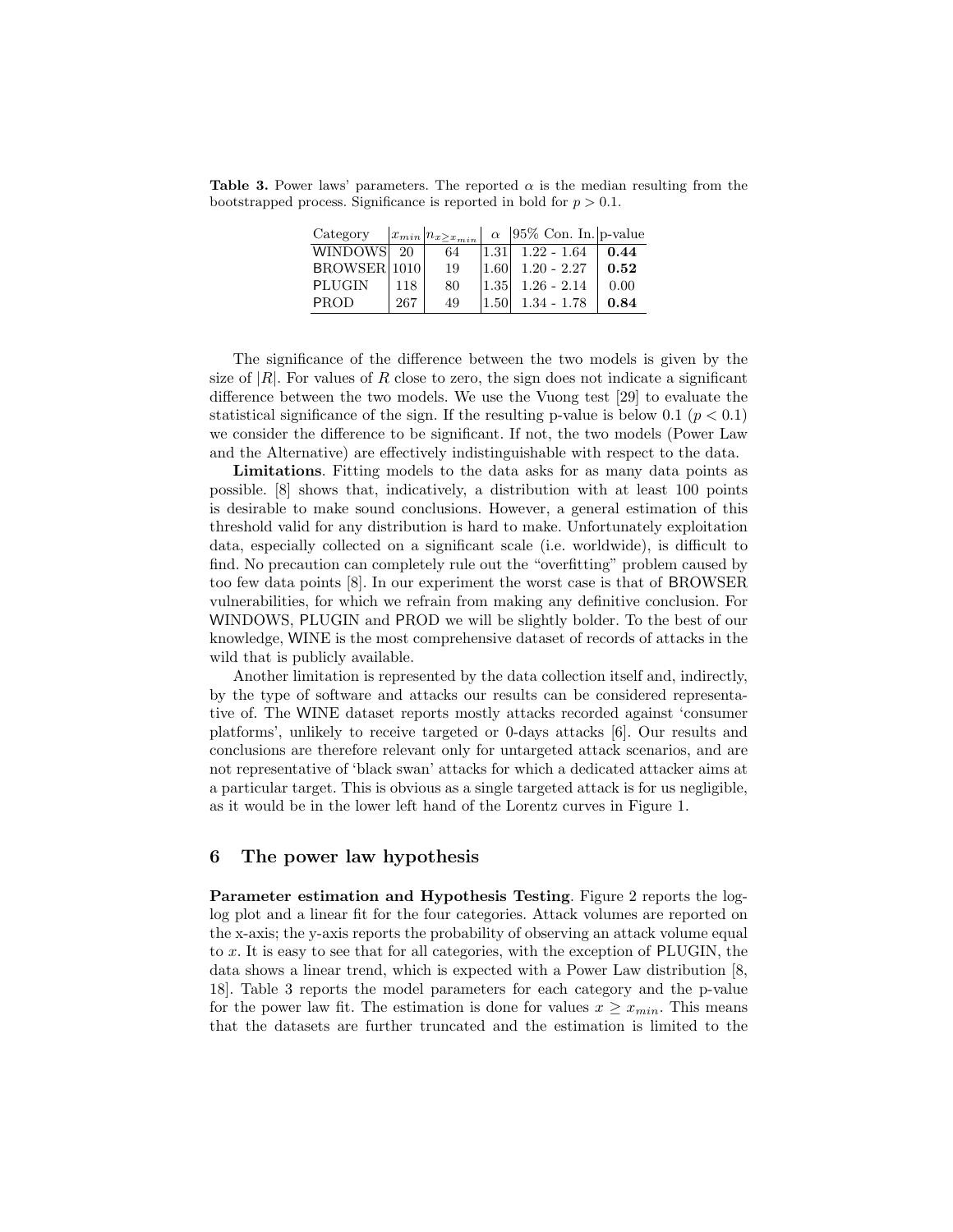**Table 3.** Power laws' parameters. The reported  $\alpha$  is the median resulting from the bootstrapped process. Significance is reported in bold for  $p > 0.1$ .

| Category     |     | $ x_{min} n_{x\geq x_{min}} $ | $\alpha$          | $ 95\% \text{ Con. In.} $ p-value |      |
|--------------|-----|-------------------------------|-------------------|-----------------------------------|------|
| WINDOWS 20   |     | 64                            |                   | $ 1.31 $ 1.22 - 1.64              | 0.44 |
| BROWSER 1010 |     | 19                            | 1.60 <sup>1</sup> | $1.20 - 2.27$                     | 0.52 |
| PLUGIN       | 118 | 80                            | 1.35              | $1.26 - 2.14$                     | 0.00 |
| <b>PROD</b>  | 267 | 49                            | 1.50              | $1.34 - 1.78$                     | 0.84 |

The significance of the difference between the two models is given by the size of  $|R|$ . For values of R close to zero, the sign does not indicate a significant difference between the two models. We use the Vuong test [29] to evaluate the statistical significance of the sign. If the resulting p-value is below 0.1 ( $p < 0.1$ ) we consider the difference to be significant. If not, the two models (Power Law and the Alternative) are effectively indistinguishable with respect to the data.

Limitations. Fitting models to the data asks for as many data points as possible. [8] shows that, indicatively, a distribution with at least 100 points is desirable to make sound conclusions. However, a general estimation of this threshold valid for any distribution is hard to make. Unfortunately exploitation data, especially collected on a significant scale (i.e. worldwide), is difficult to find. No precaution can completely rule out the "overfitting" problem caused by too few data points [8]. In our experiment the worst case is that of BROWSER vulnerabilities, for which we refrain from making any definitive conclusion. For WINDOWS, PLUGIN and PROD we will be slightly bolder. To the best of our knowledge, WINE is the most comprehensive dataset of records of attacks in the wild that is publicly available.

Another limitation is represented by the data collection itself and, indirectly, by the type of software and attacks our results can be considered representative of. The WINE dataset reports mostly attacks recorded against 'consumer platforms', unlikely to receive targeted or 0-days attacks [6]. Our results and conclusions are therefore relevant only for untargeted attack scenarios, and are not representative of 'black swan' attacks for which a dedicated attacker aims at a particular target. This is obvious as a single targeted attack is for us negligible, as it would be in the lower left hand of the Lorentz curves in Figure 1.

#### 6 The power law hypothesis

Parameter estimation and Hypothesis Testing. Figure 2 reports the loglog plot and a linear fit for the four categories. Attack volumes are reported on the x-axis; the y-axis reports the probability of observing an attack volume equal to x. It is easy to see that for all categories, with the exception of PLUGIN, the data shows a linear trend, which is expected with a Power Law distribution [8, 18]. Table 3 reports the model parameters for each category and the p-value for the power law fit. The estimation is done for values  $x \geq x_{min}$ . This means that the datasets are further truncated and the estimation is limited to the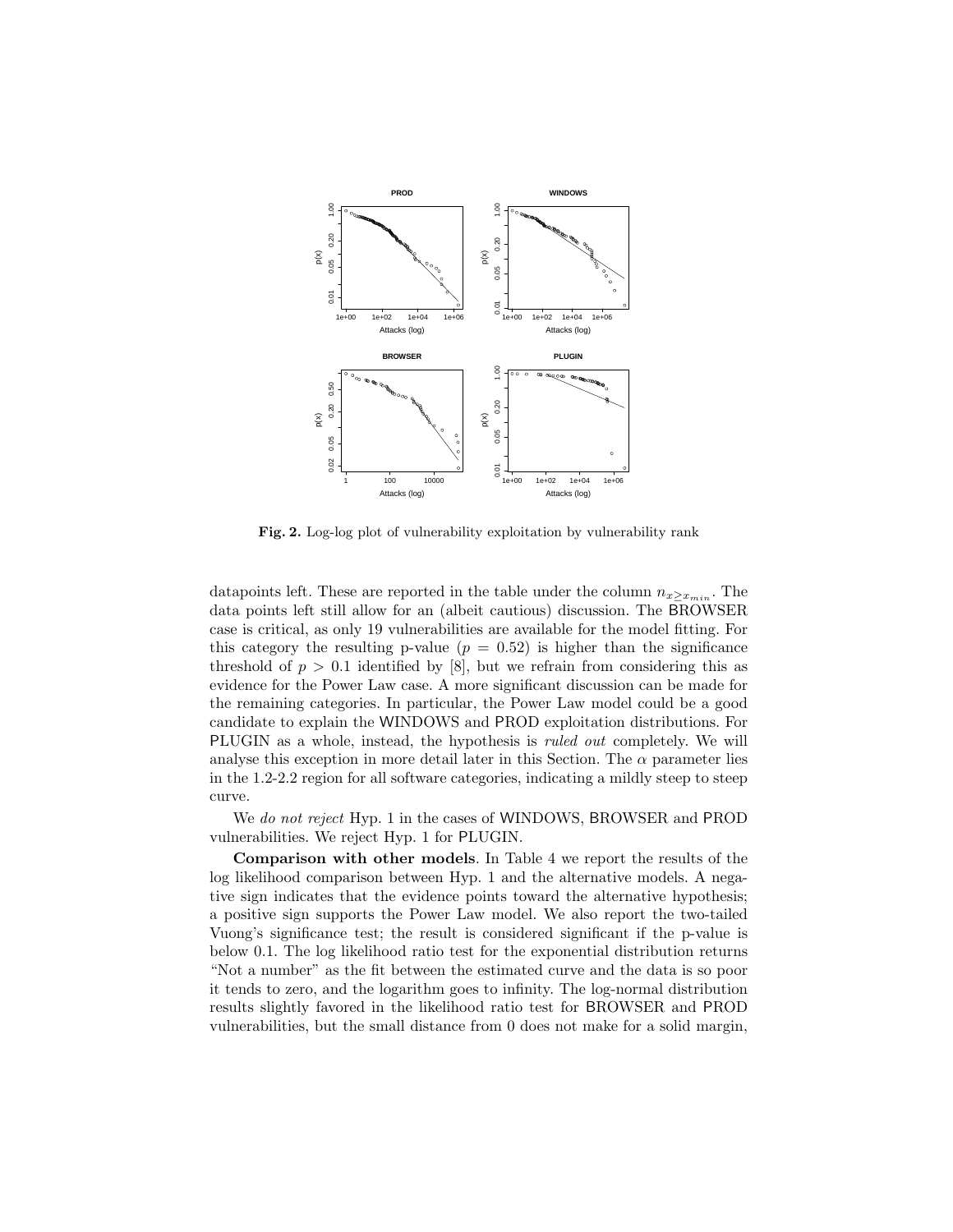

Fig. 2. Log-log plot of vulnerability exploitation by vulnerability rank

datapoints left. These are reported in the table under the column  $n_{x>x_{min}}$ . The data points left still allow for an (albeit cautious) discussion. The BROWSER case is critical, as only 19 vulnerabilities are available for the model fitting. For this category the resulting p-value  $(p = 0.52)$  is higher than the significance threshold of  $p > 0.1$  identified by [8], but we refrain from considering this as evidence for the Power Law case. A more significant discussion can be made for the remaining categories. In particular, the Power Law model could be a good candidate to explain the WINDOWS and PROD exploitation distributions. For PLUGIN as a whole, instead, the hypothesis is *ruled out* completely. We will analyse this exception in more detail later in this Section. The  $\alpha$  parameter lies in the 1.2-2.2 region for all software categories, indicating a mildly steep to steep curve.

We do not reject Hyp. 1 in the cases of WINDOWS, BROWSER and PROD vulnerabilities. We reject Hyp. 1 for PLUGIN.

Comparison with other models. In Table 4 we report the results of the log likelihood comparison between Hyp. 1 and the alternative models. A negative sign indicates that the evidence points toward the alternative hypothesis; a positive sign supports the Power Law model. We also report the two-tailed Vuong's significance test; the result is considered significant if the p-value is below 0.1. The log likelihood ratio test for the exponential distribution returns "Not a number" as the fit between the estimated curve and the data is so poor it tends to zero, and the logarithm goes to infinity. The log-normal distribution results slightly favored in the likelihood ratio test for BROWSER and PROD vulnerabilities, but the small distance from 0 does not make for a solid margin,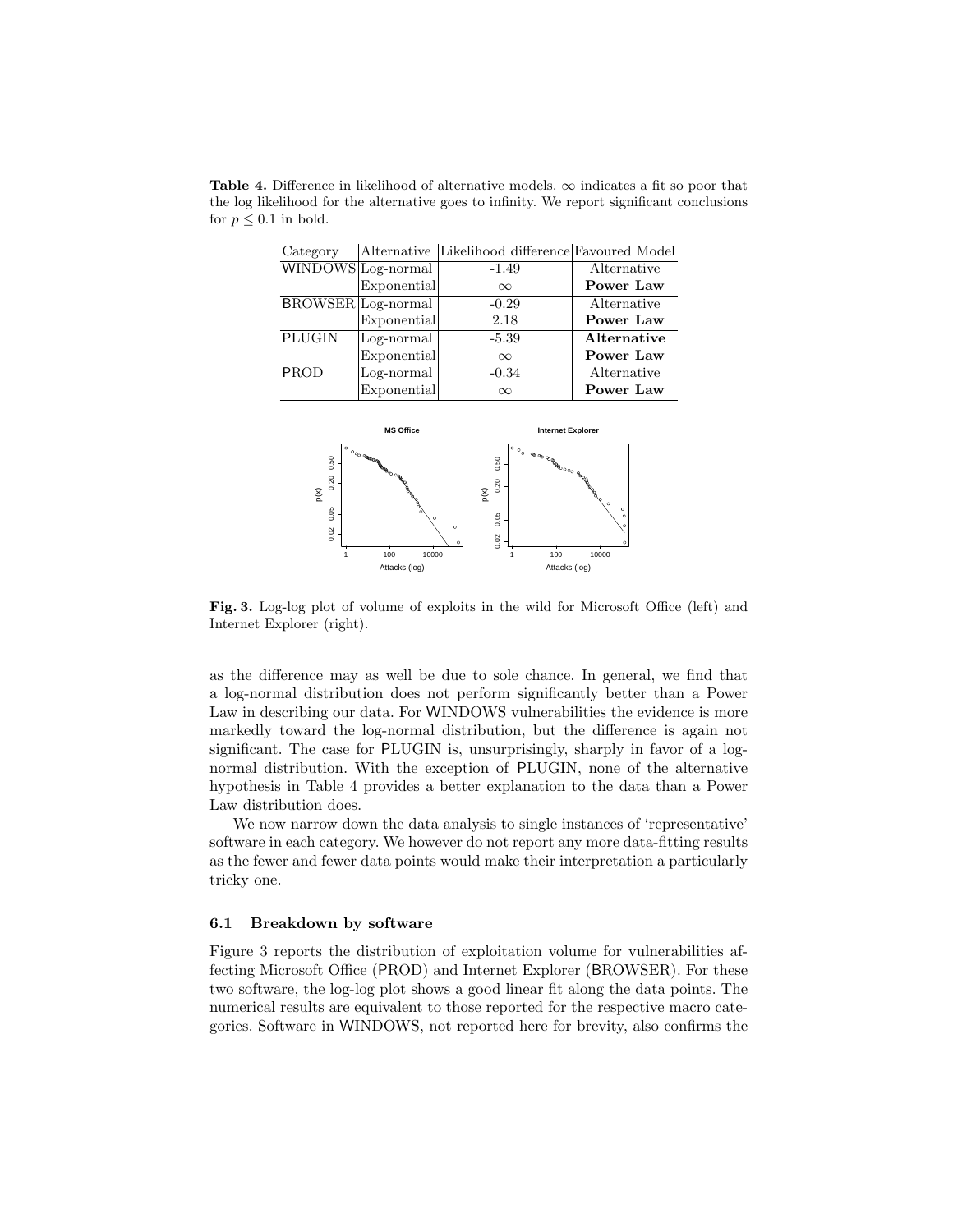**Table 4.** Difference in likelihood of alternative models.  $\infty$  indicates a fit so poor that the log likelihood for the alternative goes to infinity. We report significant conclusions for  $p \leq 0.1$  in bold.

| Category      |                           | Alternative Likelihood difference Favoured Model |             |
|---------------|---------------------------|--------------------------------------------------|-------------|
|               | WINDOWS Log-normal        | $-1.49$                                          | Alternative |
|               | Exponential               | $\infty$                                         | Power Law   |
|               | <b>BROWSER</b> Log-normal | $-0.29$                                          | Alternative |
|               | Exponential               | 2.18                                             | Power Law   |
| <b>PLUGIN</b> | Log-normal                | $-5.39$                                          | Alternative |
|               | Exponential               | $\infty$                                         | Power Law   |
| PROD          | Log-normal                | $-0.34$                                          | Alternative |
|               | Exponential               | $\infty$                                         | Power Law   |



Fig. 3. Log-log plot of volume of exploits in the wild for Microsoft Office (left) and Internet Explorer (right).

as the difference may as well be due to sole chance. In general, we find that a log-normal distribution does not perform significantly better than a Power Law in describing our data. For WINDOWS vulnerabilities the evidence is more markedly toward the log-normal distribution, but the difference is again not significant. The case for PLUGIN is, unsurprisingly, sharply in favor of a lognormal distribution. With the exception of PLUGIN, none of the alternative hypothesis in Table 4 provides a better explanation to the data than a Power Law distribution does.

We now narrow down the data analysis to single instances of 'representative' software in each category. We however do not report any more data-fitting results as the fewer and fewer data points would make their interpretation a particularly tricky one.

#### 6.1 Breakdown by software

Figure 3 reports the distribution of exploitation volume for vulnerabilities affecting Microsoft Office (PROD) and Internet Explorer (BROWSER). For these two software, the log-log plot shows a good linear fit along the data points. The numerical results are equivalent to those reported for the respective macro categories. Software in WINDOWS, not reported here for brevity, also confirms the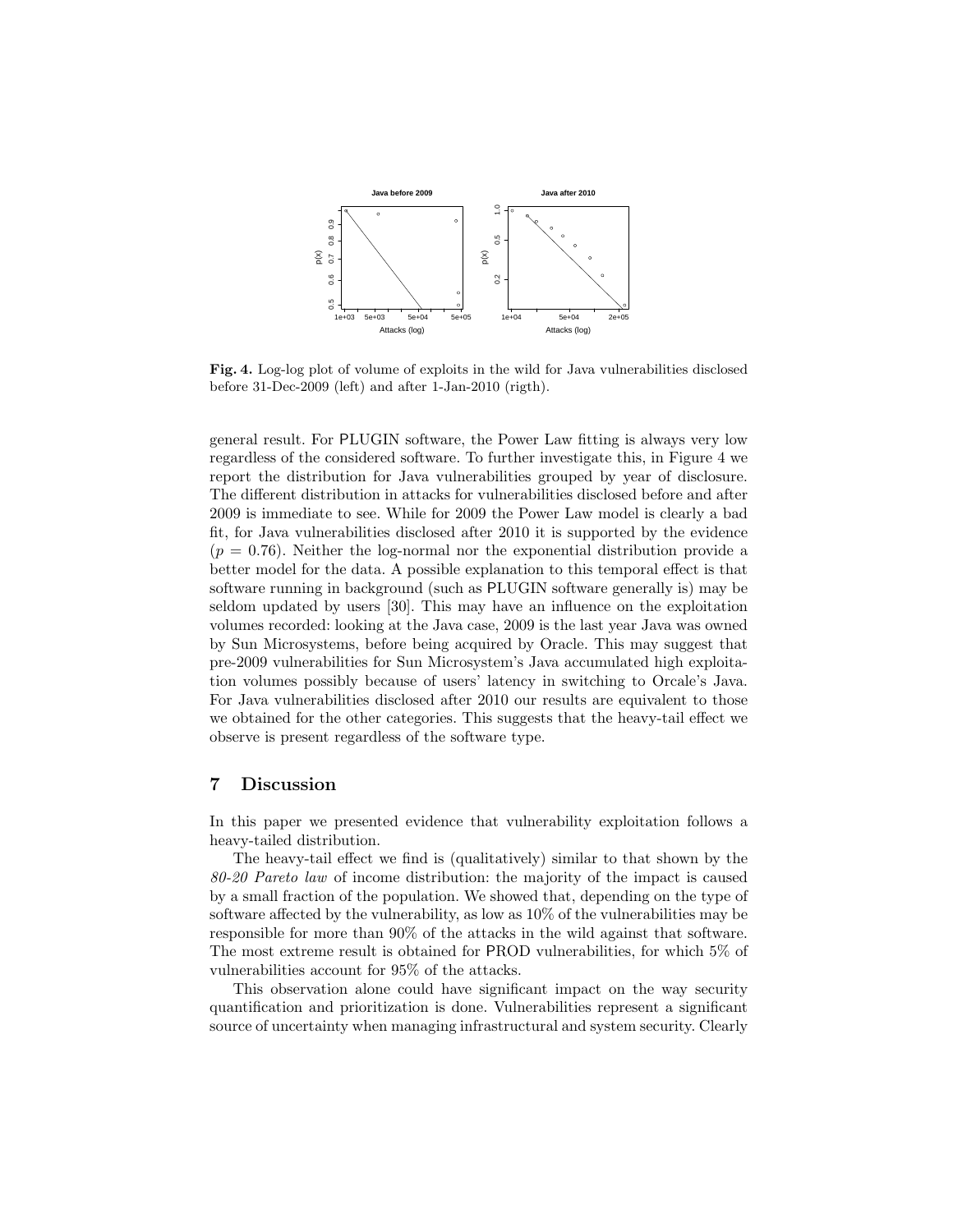

Fig. 4. Log-log plot of volume of exploits in the wild for Java vulnerabilities disclosed before 31-Dec-2009 (left) and after 1-Jan-2010 (rigth).

general result. For PLUGIN software, the Power Law fitting is always very low regardless of the considered software. To further investigate this, in Figure 4 we report the distribution for Java vulnerabilities grouped by year of disclosure. The different distribution in attacks for vulnerabilities disclosed before and after 2009 is immediate to see. While for 2009 the Power Law model is clearly a bad fit, for Java vulnerabilities disclosed after 2010 it is supported by the evidence  $(p = 0.76)$ . Neither the log-normal nor the exponential distribution provide a better model for the data. A possible explanation to this temporal effect is that software running in background (such as PLUGIN software generally is) may be seldom updated by users [30]. This may have an influence on the exploitation volumes recorded: looking at the Java case, 2009 is the last year Java was owned by Sun Microsystems, before being acquired by Oracle. This may suggest that pre-2009 vulnerabilities for Sun Microsystem's Java accumulated high exploitation volumes possibly because of users' latency in switching to Orcale's Java. For Java vulnerabilities disclosed after 2010 our results are equivalent to those we obtained for the other categories. This suggests that the heavy-tail effect we observe is present regardless of the software type.

### 7 Discussion

In this paper we presented evidence that vulnerability exploitation follows a heavy-tailed distribution.

The heavy-tail effect we find is (qualitatively) similar to that shown by the 80-20 Pareto law of income distribution: the majority of the impact is caused by a small fraction of the population. We showed that, depending on the type of software affected by the vulnerability, as low as 10% of the vulnerabilities may be responsible for more than 90% of the attacks in the wild against that software. The most extreme result is obtained for PROD vulnerabilities, for which 5% of vulnerabilities account for 95% of the attacks.

This observation alone could have significant impact on the way security quantification and prioritization is done. Vulnerabilities represent a significant source of uncertainty when managing infrastructural and system security. Clearly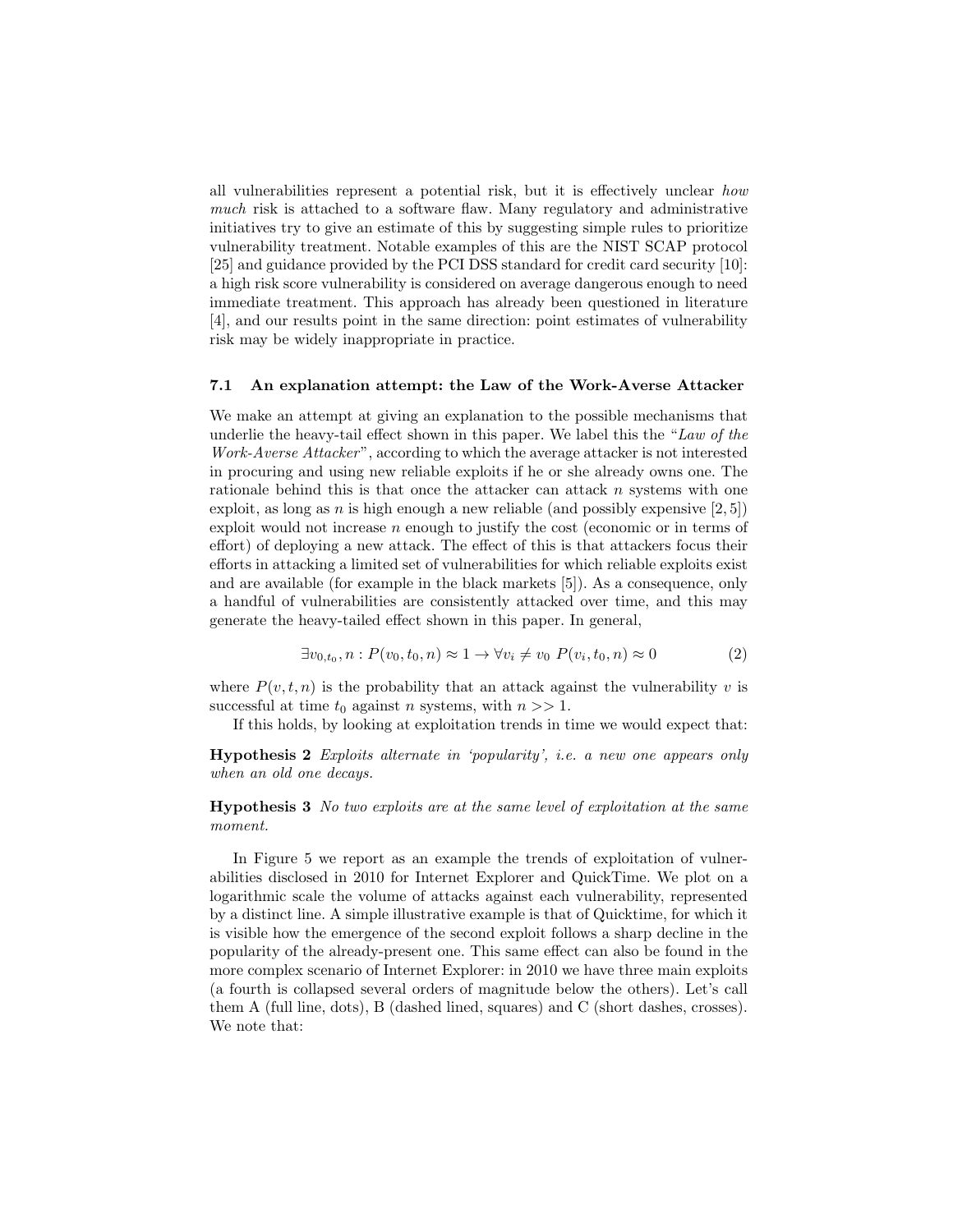all vulnerabilities represent a potential risk, but it is effectively unclear how much risk is attached to a software flaw. Many regulatory and administrative initiatives try to give an estimate of this by suggesting simple rules to prioritize vulnerability treatment. Notable examples of this are the NIST SCAP protocol [25] and guidance provided by the PCI DSS standard for credit card security [10]: a high risk score vulnerability is considered on average dangerous enough to need immediate treatment. This approach has already been questioned in literature [4], and our results point in the same direction: point estimates of vulnerability risk may be widely inappropriate in practice.

#### 7.1 An explanation attempt: the Law of the Work-Averse Attacker

We make an attempt at giving an explanation to the possible mechanisms that underlie the heavy-tail effect shown in this paper. We label this the "Law of the Work-Averse Attacker", according to which the average attacker is not interested in procuring and using new reliable exploits if he or she already owns one. The rationale behind this is that once the attacker can attack  $n$  systems with one exploit, as long as n is high enough a new reliable (and possibly expensive  $[2, 5]$ ) exploit would not increase  $n$  enough to justify the cost (economic or in terms of effort) of deploying a new attack. The effect of this is that attackers focus their efforts in attacking a limited set of vulnerabilities for which reliable exploits exist and are available (for example in the black markets [5]). As a consequence, only a handful of vulnerabilities are consistently attacked over time, and this may generate the heavy-tailed effect shown in this paper. In general,

$$
\exists v_{0,t_0}, n: P(v_0, t_0, n) \approx 1 \rightarrow \forall v_i \neq v_0 \ P(v_i, t_0, n) \approx 0 \tag{2}
$$

where  $P(v, t, n)$  is the probability that an attack against the vulnerability v is successful at time  $t_0$  against n systems, with  $n >> 1$ .

If this holds, by looking at exploitation trends in time we would expect that:

Hypothesis 2 Exploits alternate in 'popularity', i.e. a new one appears only when an old one decays.

Hypothesis 3 No two exploits are at the same level of exploitation at the same moment.

In Figure 5 we report as an example the trends of exploitation of vulnerabilities disclosed in 2010 for Internet Explorer and QuickTime. We plot on a logarithmic scale the volume of attacks against each vulnerability, represented by a distinct line. A simple illustrative example is that of Quicktime, for which it is visible how the emergence of the second exploit follows a sharp decline in the popularity of the already-present one. This same effect can also be found in the more complex scenario of Internet Explorer: in 2010 we have three main exploits (a fourth is collapsed several orders of magnitude below the others). Let's call them A (full line, dots), B (dashed lined, squares) and C (short dashes, crosses). We note that: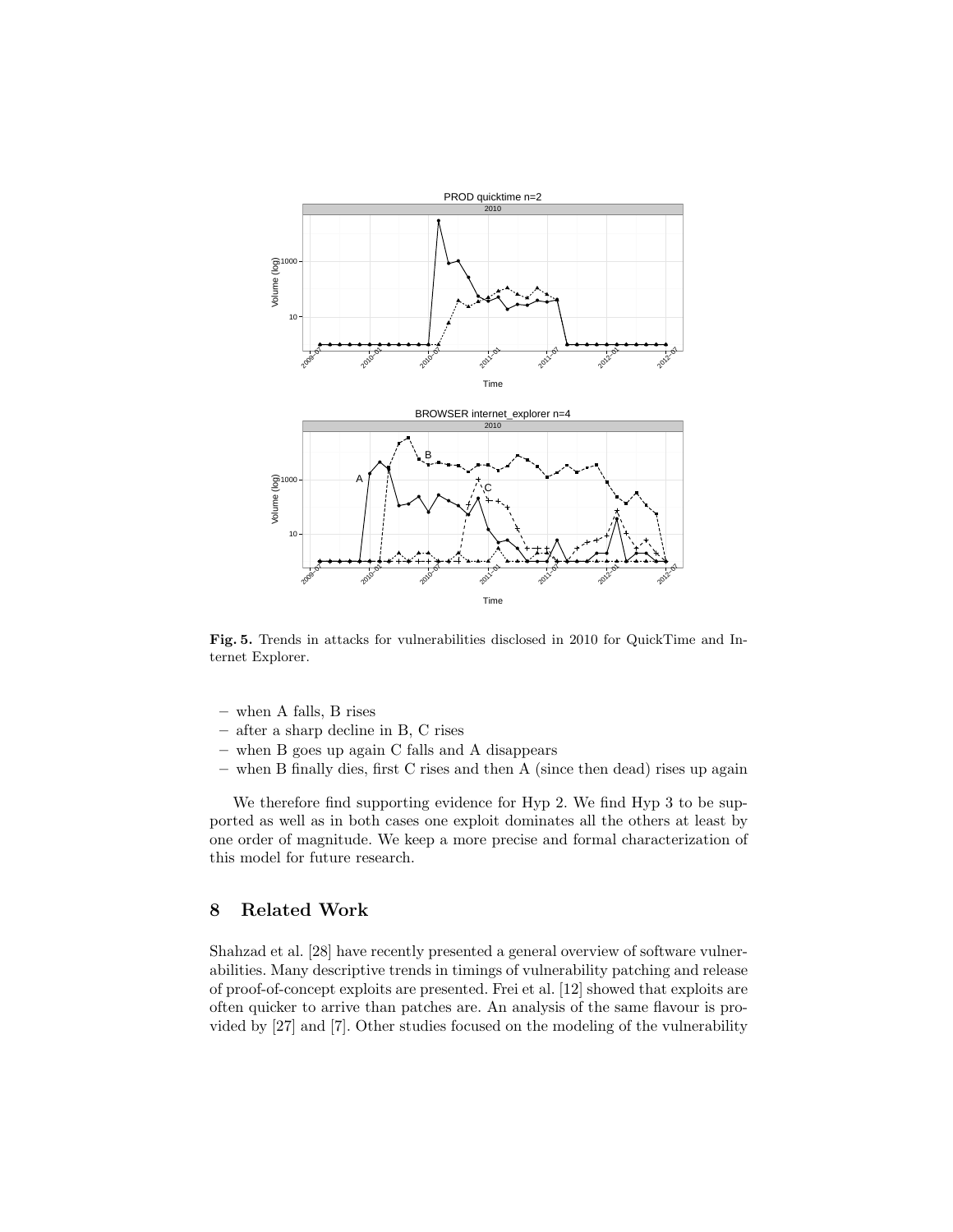

Fig. 5. Trends in attacks for vulnerabilities disclosed in 2010 for QuickTime and Internet Explorer.

- when A falls, B rises
- after a sharp decline in B, C rises
- when B goes up again C falls and A disappears
- when B finally dies, first C rises and then A (since then dead) rises up again

We therefore find supporting evidence for Hyp 2. We find Hyp 3 to be supported as well as in both cases one exploit dominates all the others at least by one order of magnitude. We keep a more precise and formal characterization of this model for future research.

# 8 Related Work

Shahzad et al. [28] have recently presented a general overview of software vulnerabilities. Many descriptive trends in timings of vulnerability patching and release of proof-of-concept exploits are presented. Frei et al. [12] showed that exploits are often quicker to arrive than patches are. An analysis of the same flavour is provided by [27] and [7]. Other studies focused on the modeling of the vulnerability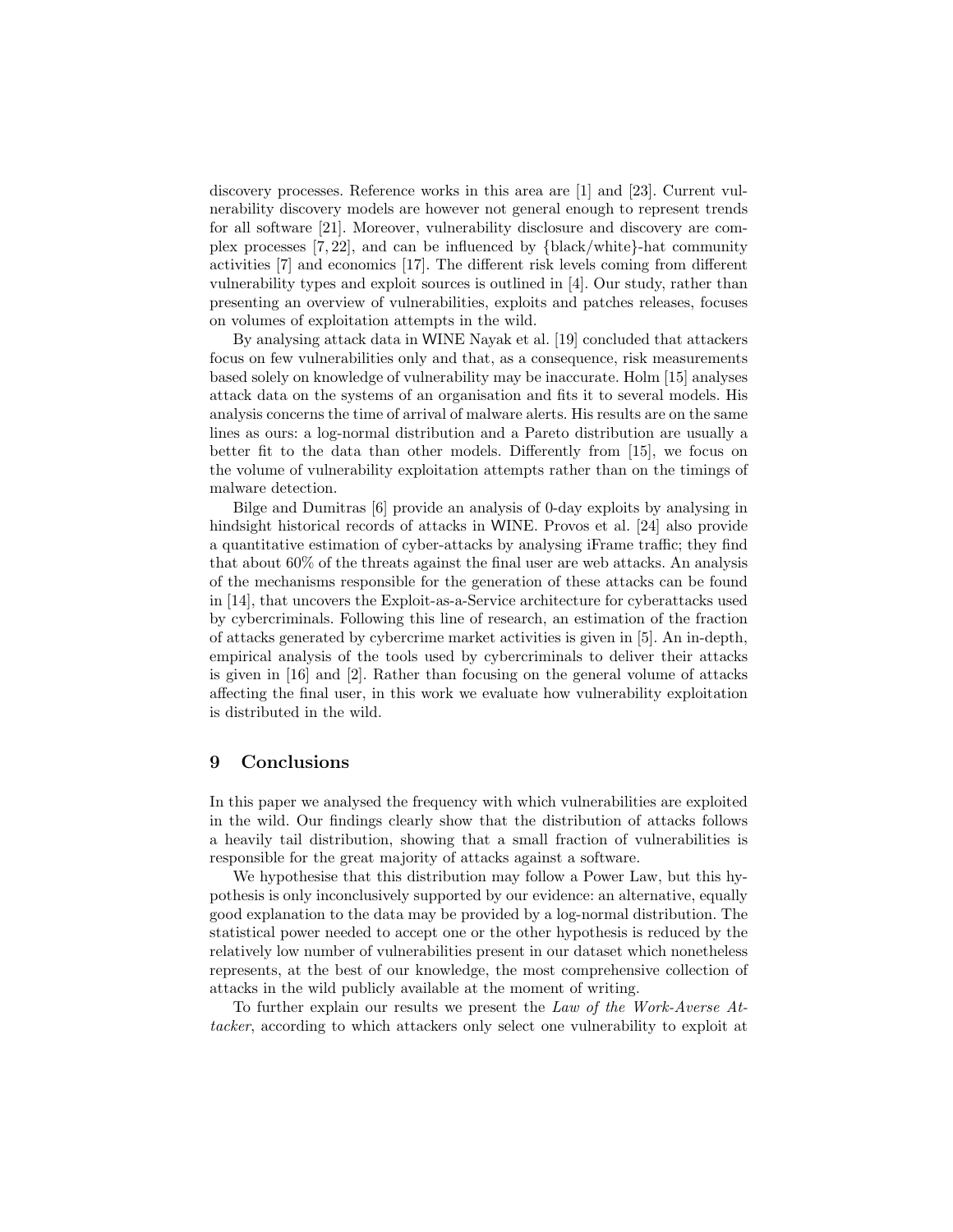discovery processes. Reference works in this area are [1] and [23]. Current vulnerability discovery models are however not general enough to represent trends for all software [21]. Moreover, vulnerability disclosure and discovery are complex processes [7, 22], and can be influenced by {black/white}-hat community activities [7] and economics [17]. The different risk levels coming from different vulnerability types and exploit sources is outlined in [4]. Our study, rather than presenting an overview of vulnerabilities, exploits and patches releases, focuses on volumes of exploitation attempts in the wild.

By analysing attack data in WINE Nayak et al. [19] concluded that attackers focus on few vulnerabilities only and that, as a consequence, risk measurements based solely on knowledge of vulnerability may be inaccurate. Holm [15] analyses attack data on the systems of an organisation and fits it to several models. His analysis concerns the time of arrival of malware alerts. His results are on the same lines as ours: a log-normal distribution and a Pareto distribution are usually a better fit to the data than other models. Differently from [15], we focus on the volume of vulnerability exploitation attempts rather than on the timings of malware detection.

Bilge and Dumitras [6] provide an analysis of 0-day exploits by analysing in hindsight historical records of attacks in WINE. Provos et al. [24] also provide a quantitative estimation of cyber-attacks by analysing iFrame traffic; they find that about 60% of the threats against the final user are web attacks. An analysis of the mechanisms responsible for the generation of these attacks can be found in [14], that uncovers the Exploit-as-a-Service architecture for cyberattacks used by cybercriminals. Following this line of research, an estimation of the fraction of attacks generated by cybercrime market activities is given in [5]. An in-depth, empirical analysis of the tools used by cybercriminals to deliver their attacks is given in [16] and [2]. Rather than focusing on the general volume of attacks affecting the final user, in this work we evaluate how vulnerability exploitation is distributed in the wild.

#### 9 Conclusions

In this paper we analysed the frequency with which vulnerabilities are exploited in the wild. Our findings clearly show that the distribution of attacks follows a heavily tail distribution, showing that a small fraction of vulnerabilities is responsible for the great majority of attacks against a software.

We hypothesise that this distribution may follow a Power Law, but this hypothesis is only inconclusively supported by our evidence: an alternative, equally good explanation to the data may be provided by a log-normal distribution. The statistical power needed to accept one or the other hypothesis is reduced by the relatively low number of vulnerabilities present in our dataset which nonetheless represents, at the best of our knowledge, the most comprehensive collection of attacks in the wild publicly available at the moment of writing.

To further explain our results we present the Law of the Work-Averse Attacker, according to which attackers only select one vulnerability to exploit at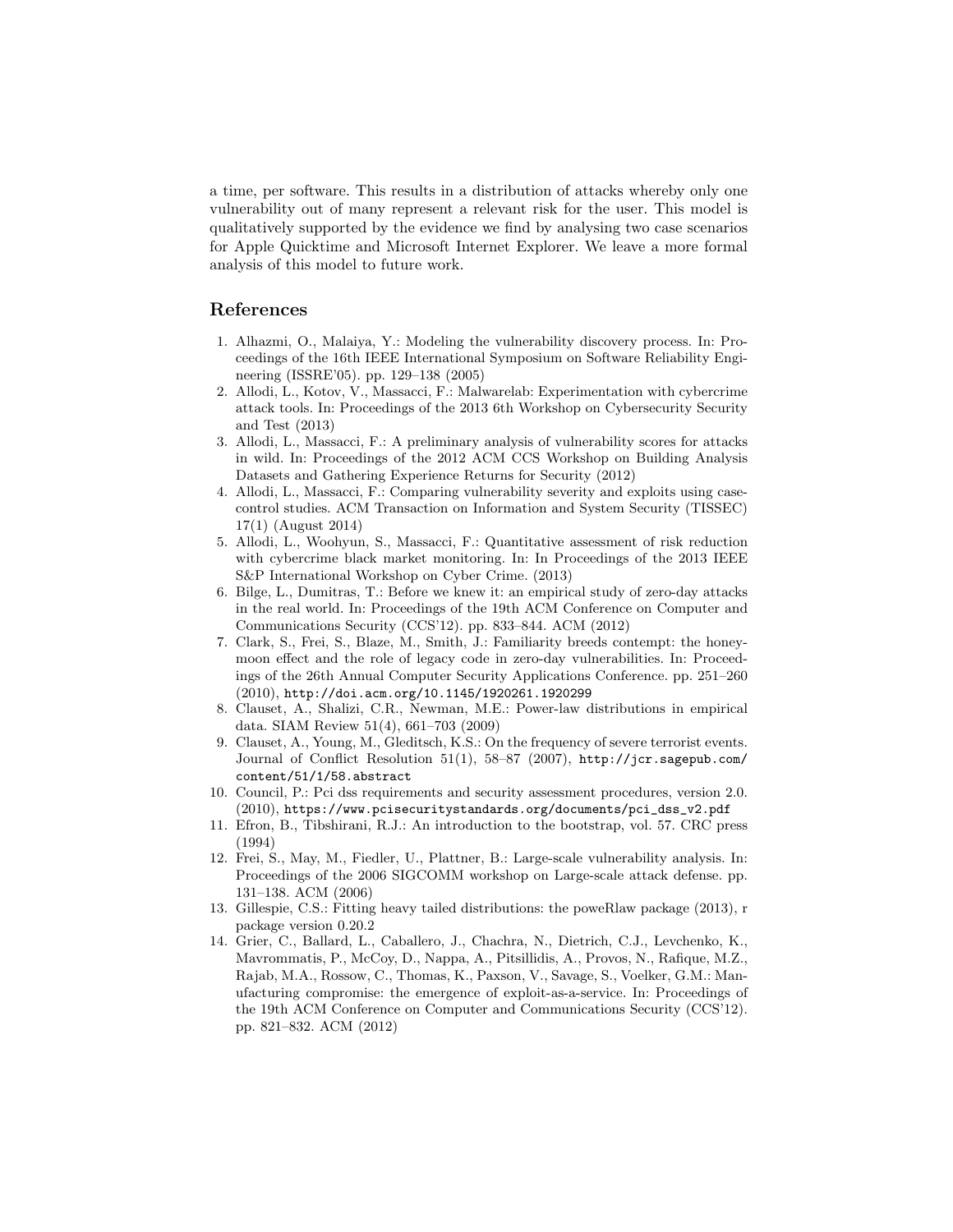a time, per software. This results in a distribution of attacks whereby only one vulnerability out of many represent a relevant risk for the user. This model is qualitatively supported by the evidence we find by analysing two case scenarios for Apple Quicktime and Microsoft Internet Explorer. We leave a more formal analysis of this model to future work.

### References

- 1. Alhazmi, O., Malaiya, Y.: Modeling the vulnerability discovery process. In: Proceedings of the 16th IEEE International Symposium on Software Reliability Engineering (ISSRE'05). pp. 129–138 (2005)
- 2. Allodi, L., Kotov, V., Massacci, F.: Malwarelab: Experimentation with cybercrime attack tools. In: Proceedings of the 2013 6th Workshop on Cybersecurity Security and Test (2013)
- 3. Allodi, L., Massacci, F.: A preliminary analysis of vulnerability scores for attacks in wild. In: Proceedings of the 2012 ACM CCS Workshop on Building Analysis Datasets and Gathering Experience Returns for Security (2012)
- 4. Allodi, L., Massacci, F.: Comparing vulnerability severity and exploits using casecontrol studies. ACM Transaction on Information and System Security (TISSEC) 17(1) (August 2014)
- 5. Allodi, L., Woohyun, S., Massacci, F.: Quantitative assessment of risk reduction with cybercrime black market monitoring. In: In Proceedings of the 2013 IEEE S&P International Workshop on Cyber Crime. (2013)
- 6. Bilge, L., Dumitras, T.: Before we knew it: an empirical study of zero-day attacks in the real world. In: Proceedings of the 19th ACM Conference on Computer and Communications Security (CCS'12). pp. 833–844. ACM (2012)
- 7. Clark, S., Frei, S., Blaze, M., Smith, J.: Familiarity breeds contempt: the honeymoon effect and the role of legacy code in zero-day vulnerabilities. In: Proceedings of the 26th Annual Computer Security Applications Conference. pp. 251–260 (2010), http://doi.acm.org/10.1145/1920261.1920299
- 8. Clauset, A., Shalizi, C.R., Newman, M.E.: Power-law distributions in empirical data. SIAM Review 51(4), 661–703 (2009)
- 9. Clauset, A., Young, M., Gleditsch, K.S.: On the frequency of severe terrorist events. Journal of Conflict Resolution 51(1), 58–87 (2007), http://jcr.sagepub.com/ content/51/1/58.abstract
- 10. Council, P.: Pci dss requirements and security assessment procedures, version 2.0. (2010), https://www.pcisecuritystandards.org/documents/pci\_dss\_v2.pdf
- 11. Efron, B., Tibshirani, R.J.: An introduction to the bootstrap, vol. 57. CRC press (1994)
- 12. Frei, S., May, M., Fiedler, U., Plattner, B.: Large-scale vulnerability analysis. In: Proceedings of the 2006 SIGCOMM workshop on Large-scale attack defense. pp. 131–138. ACM (2006)
- 13. Gillespie, C.S.: Fitting heavy tailed distributions: the poweRlaw package (2013), r package version 0.20.2
- 14. Grier, C., Ballard, L., Caballero, J., Chachra, N., Dietrich, C.J., Levchenko, K., Mavrommatis, P., McCoy, D., Nappa, A., Pitsillidis, A., Provos, N., Rafique, M.Z., Rajab, M.A., Rossow, C., Thomas, K., Paxson, V., Savage, S., Voelker, G.M.: Manufacturing compromise: the emergence of exploit-as-a-service. In: Proceedings of the 19th ACM Conference on Computer and Communications Security (CCS'12). pp. 821–832. ACM (2012)